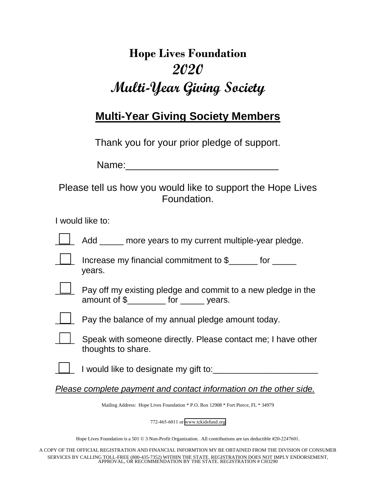## **Hope Lives Foundation 2020 Multi-Year Giving Society**

## **Multi-Year Giving Society Members**

Thank you for your prior pledge of support.

Please tell us how you would like to support the Hope Lives Foundation.

I would like to:

| Add |  | more years to my current multiple-year pledge. |
|-----|--|------------------------------------------------|
|     |  |                                                |

|  | Increase my financial commitment to \$ |  |
|--|----------------------------------------|--|
|  | years.                                 |  |

|  | Pay off my existing pledge and commit to a new pledge in the |     |        |  |  |
|--|--------------------------------------------------------------|-----|--------|--|--|
|  | amount of \$                                                 | tor | vears. |  |  |

|  | Pay the balance of my annual pledge amount today. |  |  |  |
|--|---------------------------------------------------|--|--|--|
|--|---------------------------------------------------|--|--|--|

|  | Speak with someone directly. Please contact me; I have other |
|--|--------------------------------------------------------------|
|  | thoughts to share.                                           |

I would like to designate my gift to:

*Please complete payment and contact information on the other side.* 

Mailing Address: Hope Lives Foundation \* P.O. Box 12908 \* Fort Pierce, FL \* 34979

772-465-6011 or www.tckidsfund.org

Hope Lives Foundation is a 501 © 3 Non-Profit Organization. All contributions are tax deductible #20-2247601.

A COPY OF THE OFFICIAL REGISTRATION AND FINANCIAL INFORMTION MY BE OBTAINED FROM THE DIVISION OF CONSUMER SERVICES BY CALLING TOLL-FREE (800-435-7352) WITHIN THE STATE. REGISTRATION DOES NOT IMPLY ENDORSEMENT, APPROVAL, OR RECOMMENDATION BY THE STATE. REGISTRATION # CH3290